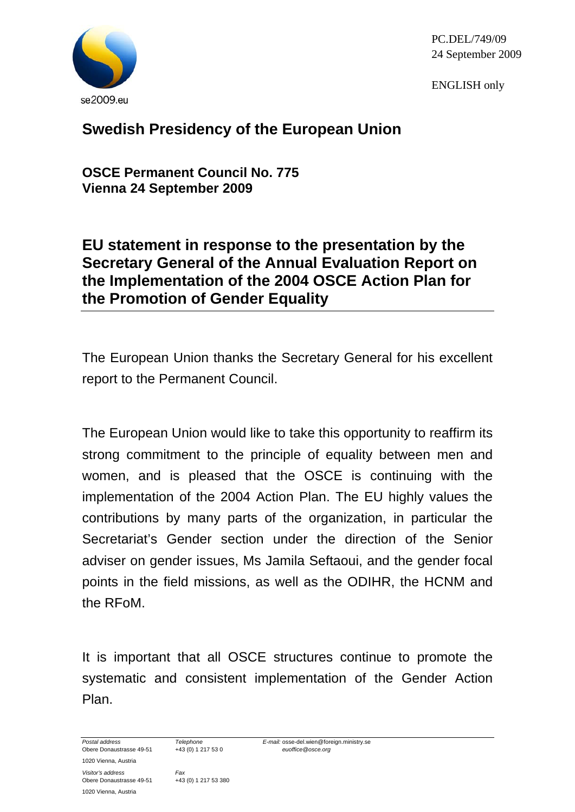

PC.DEL/749/09 24 September 2009

ENGLISH only

## **Swedish Presidency of the European Union**

**OSCE Permanent Council No. 775 Vienna 24 September 2009** 

## **EU statement in response to the presentation by the Secretary General of the Annual Evaluation Report on the Implementation of the 2004 OSCE Action Plan for the Promotion of Gender Equality**

The European Union thanks the Secretary General for his excellent report to the Permanent Council.

The European Union would like to take this opportunity to reaffirm its strong commitment to the principle of equality between men and women, and is pleased that the OSCE is continuing with the implementation of the 2004 Action Plan. The EU highly values the contributions by many parts of the organization, in particular the Secretariat's Gender section under the direction of the Senior adviser on gender issues, Ms Jamila Seftaoui, and the gender focal points in the field missions, as well as the ODIHR, the HCNM and the RFoM.

It is important that all OSCE structures continue to promote the systematic and consistent implementation of the Gender Action Plan.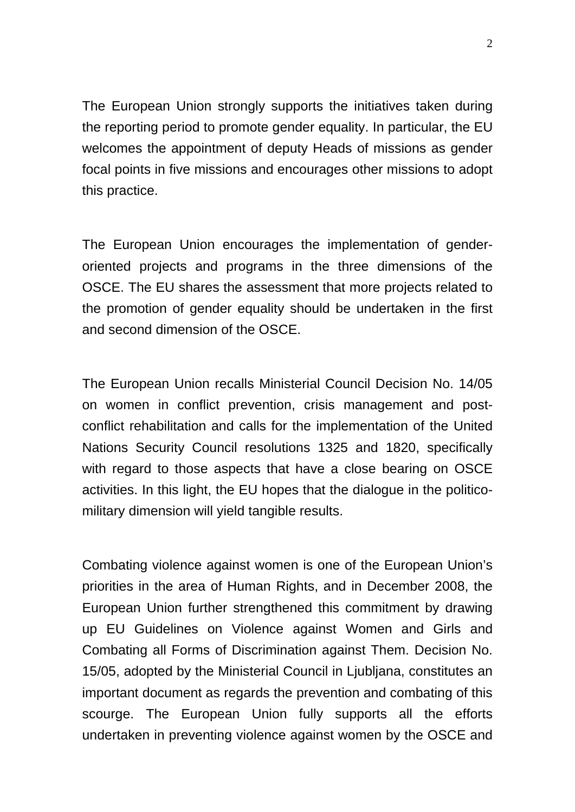The European Union strongly supports the initiatives taken during the reporting period to promote gender equality. In particular, the EU welcomes the appointment of deputy Heads of missions as gender focal points in five missions and encourages other missions to adopt this practice.

The European Union encourages the implementation of genderoriented projects and programs in the three dimensions of the OSCE. The EU shares the assessment that more projects related to the promotion of gender equality should be undertaken in the first and second dimension of the OSCE.

The European Union recalls Ministerial Council Decision No. 14/05 on women in conflict prevention, crisis management and postconflict rehabilitation and calls for the implementation of the United Nations Security Council resolutions 1325 and 1820, specifically with regard to those aspects that have a close bearing on OSCE activities. In this light, the EU hopes that the dialogue in the politicomilitary dimension will yield tangible results.

Combating violence against women is one of the European Union's priorities in the area of Human Rights, and in December 2008, the European Union further strengthened this commitment by drawing up EU Guidelines on Violence against Women and Girls and Combating all Forms of Discrimination against Them. Decision No. 15/05, adopted by the Ministerial Council in Ljubljana, constitutes an important document as regards the prevention and combating of this scourge. The European Union fully supports all the efforts undertaken in preventing violence against women by the OSCE and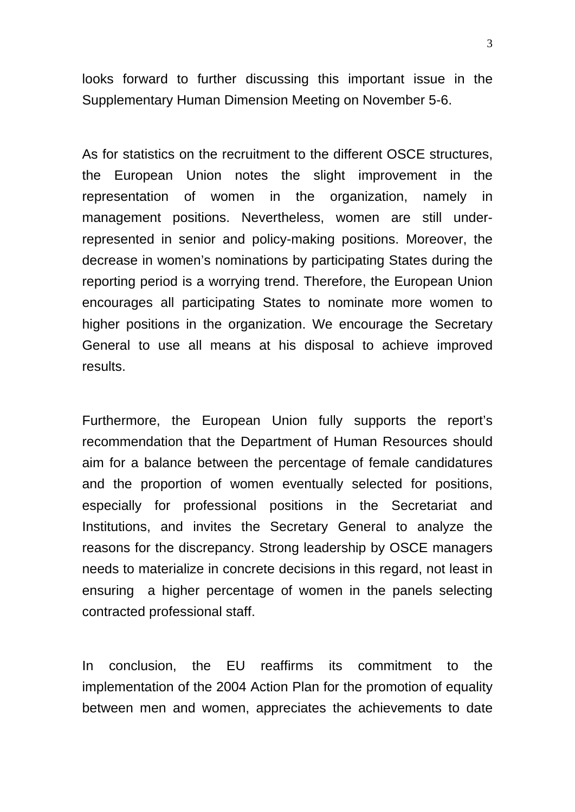looks forward to further discussing this important issue in the Supplementary Human Dimension Meeting on November 5-6.

As for statistics on the recruitment to the different OSCE structures, the European Union notes the slight improvement in the representation of women in the organization, namely in management positions. Nevertheless, women are still underrepresented in senior and policy-making positions. Moreover, the decrease in women's nominations by participating States during the reporting period is a worrying trend. Therefore, the European Union encourages all participating States to nominate more women to higher positions in the organization. We encourage the Secretary General to use all means at his disposal to achieve improved results.

Furthermore, the European Union fully supports the report's recommendation that the Department of Human Resources should aim for a balance between the percentage of female candidatures and the proportion of women eventually selected for positions, especially for professional positions in the Secretariat and Institutions, and invites the Secretary General to analyze the reasons for the discrepancy. Strong leadership by OSCE managers needs to materialize in concrete decisions in this regard, not least in ensuring a higher percentage of women in the panels selecting contracted professional staff.

In conclusion, the EU reaffirms its commitment to the implementation of the 2004 Action Plan for the promotion of equality between men and women, appreciates the achievements to date